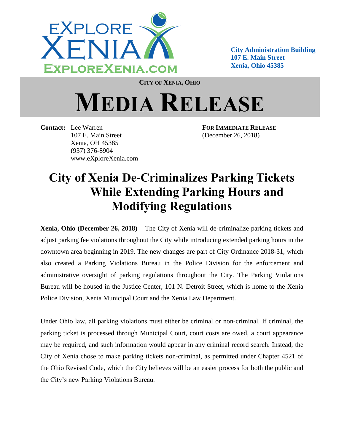

**City Administration Building 107 E. Main Street Xenia, Ohio 45385**

**CITY OF XENIA, OHIO**

## **MEDIA RELEASE**

**Contact:** Lee Warren **FOR IMMEDIATE RELEASE** 107 E. Main Street (December 26, 2018) Xenia, OH 45385 (937) 376-8904 www.eXploreXenia.com

## **City of Xenia De-Criminalizes Parking Tickets While Extending Parking Hours and Modifying Regulations**

**Xenia, Ohio (December 26, 2018) –** The City of Xenia will de-criminalize parking tickets and adjust parking fee violations throughout the City while introducing extended parking hours in the downtown area beginning in 2019. The new changes are part of City Ordinance 2018-31, which also created a Parking Violations Bureau in the Police Division for the enforcement and administrative oversight of parking regulations throughout the City. The Parking Violations Bureau will be housed in the Justice Center, 101 N. Detroit Street, which is home to the Xenia Police Division, Xenia Municipal Court and the Xenia Law Department.

Under Ohio law, all parking violations must either be criminal or non-criminal. If criminal, the parking ticket is processed through Municipal Court, court costs are owed, a court appearance may be required, and such information would appear in any criminal record search. Instead, the City of Xenia chose to make parking tickets non-criminal, as permitted under Chapter 4521 of the Ohio Revised Code, which the City believes will be an easier process for both the public and the City's new Parking Violations Bureau.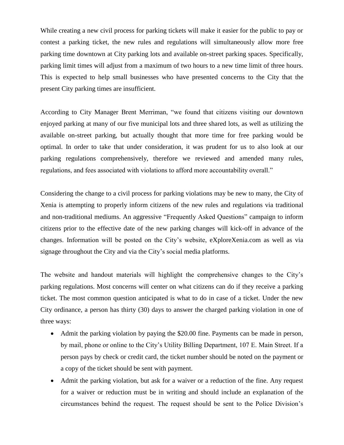While creating a new civil process for parking tickets will make it easier for the public to pay or contest a parking ticket, the new rules and regulations will simultaneously allow more free parking time downtown at City parking lots and available on-street parking spaces. Specifically, parking limit times will adjust from a maximum of two hours to a new time limit of three hours. This is expected to help small businesses who have presented concerns to the City that the present City parking times are insufficient.

According to City Manager Brent Merriman, "we found that citizens visiting our downtown enjoyed parking at many of our five municipal lots and three shared lots, as well as utilizing the available on-street parking, but actually thought that more time for free parking would be optimal. In order to take that under consideration, it was prudent for us to also look at our parking regulations comprehensively, therefore we reviewed and amended many rules, regulations, and fees associated with violations to afford more accountability overall."

Considering the change to a civil process for parking violations may be new to many, the City of Xenia is attempting to properly inform citizens of the new rules and regulations via traditional and non-traditional mediums. An aggressive "Frequently Asked Questions" campaign to inform citizens prior to the effective date of the new parking changes will kick-off in advance of the changes. Information will be posted on the City's website, eXploreXenia.com as well as via signage throughout the City and via the City's social media platforms.

The website and handout materials will highlight the comprehensive changes to the City's parking regulations. Most concerns will center on what citizens can do if they receive a parking ticket. The most common question anticipated is what to do in case of a ticket. Under the new City ordinance, a person has thirty (30) days to answer the charged parking violation in one of three ways:

- Admit the parking violation by paying the \$20.00 fine. Payments can be made in person, by mail, phone or online to the City's Utility Billing Department, 107 E. Main Street. If a person pays by check or credit card, the ticket number should be noted on the payment or a copy of the ticket should be sent with payment.
- Admit the parking violation, but ask for a waiver or a reduction of the fine. Any request for a waiver or reduction must be in writing and should include an explanation of the circumstances behind the request. The request should be sent to the Police Division's